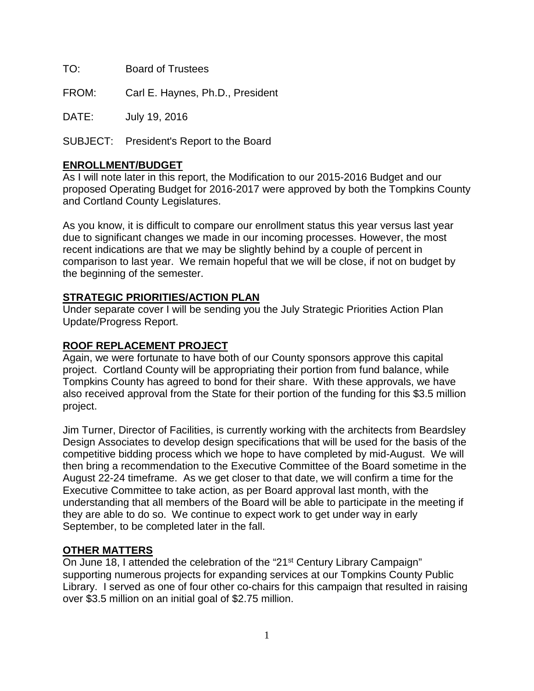TO: Board of Trustees

FROM: Carl E. Haynes, Ph.D., President

DATE: July 19, 2016

SUBJECT: President's Report to the Board

## **ENROLLMENT/BUDGET**

As I will note later in this report, the Modification to our 2015-2016 Budget and our proposed Operating Budget for 2016-2017 were approved by both the Tompkins County and Cortland County Legislatures.

As you know, it is difficult to compare our enrollment status this year versus last year due to significant changes we made in our incoming processes. However, the most recent indications are that we may be slightly behind by a couple of percent in comparison to last year. We remain hopeful that we will be close, if not on budget by the beginning of the semester.

## **STRATEGIC PRIORITIES/ACTION PLAN**

Under separate cover I will be sending you the July Strategic Priorities Action Plan Update/Progress Report.

## **ROOF REPLACEMENT PROJECT**

Again, we were fortunate to have both of our County sponsors approve this capital project. Cortland County will be appropriating their portion from fund balance, while Tompkins County has agreed to bond for their share. With these approvals, we have also received approval from the State for their portion of the funding for this \$3.5 million project.

Jim Turner, Director of Facilities, is currently working with the architects from Beardsley Design Associates to develop design specifications that will be used for the basis of the competitive bidding process which we hope to have completed by mid-August. We will then bring a recommendation to the Executive Committee of the Board sometime in the August 22-24 timeframe. As we get closer to that date, we will confirm a time for the Executive Committee to take action, as per Board approval last month, with the understanding that all members of the Board will be able to participate in the meeting if they are able to do so. We continue to expect work to get under way in early September, to be completed later in the fall.

## **OTHER MATTERS**

On June 18, I attended the celebration of the "21<sup>st</sup> Century Library Campaign" supporting numerous projects for expanding services at our Tompkins County Public Library. I served as one of four other co-chairs for this campaign that resulted in raising over \$3.5 million on an initial goal of \$2.75 million.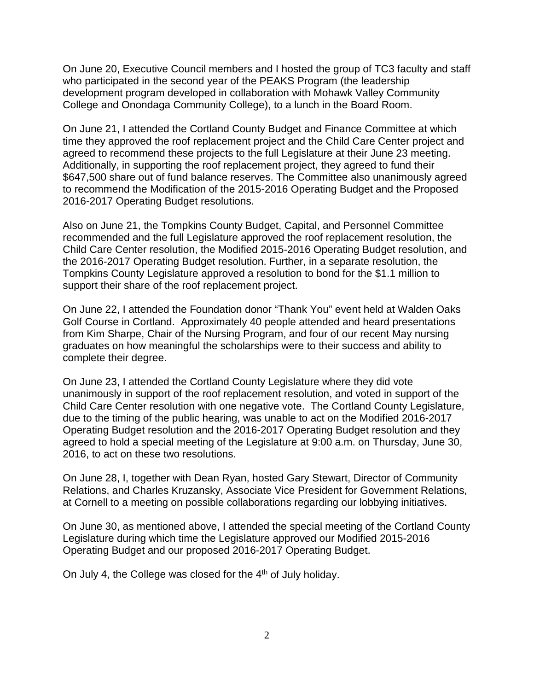On June 20, Executive Council members and I hosted the group of TC3 faculty and staff who participated in the second year of the PEAKS Program (the leadership development program developed in collaboration with Mohawk Valley Community College and Onondaga Community College), to a lunch in the Board Room.

On June 21, I attended the Cortland County Budget and Finance Committee at which time they approved the roof replacement project and the Child Care Center project and agreed to recommend these projects to the full Legislature at their June 23 meeting. Additionally, in supporting the roof replacement project, they agreed to fund their \$647,500 share out of fund balance reserves. The Committee also unanimously agreed to recommend the Modification of the 2015-2016 Operating Budget and the Proposed 2016-2017 Operating Budget resolutions.

Also on June 21, the Tompkins County Budget, Capital, and Personnel Committee recommended and the full Legislature approved the roof replacement resolution, the Child Care Center resolution, the Modified 2015-2016 Operating Budget resolution, and the 2016-2017 Operating Budget resolution. Further, in a separate resolution, the Tompkins County Legislature approved a resolution to bond for the \$1.1 million to support their share of the roof replacement project.

On June 22, I attended the Foundation donor "Thank You" event held at Walden Oaks Golf Course in Cortland. Approximately 40 people attended and heard presentations from Kim Sharpe, Chair of the Nursing Program, and four of our recent May nursing graduates on how meaningful the scholarships were to their success and ability to complete their degree.

On June 23, I attended the Cortland County Legislature where they did vote unanimously in support of the roof replacement resolution, and voted in support of the Child Care Center resolution with one negative vote. The Cortland County Legislature, due to the timing of the public hearing, was unable to act on the Modified 2016-2017 Operating Budget resolution and the 2016-2017 Operating Budget resolution and they agreed to hold a special meeting of the Legislature at 9:00 a.m. on Thursday, June 30, 2016, to act on these two resolutions.

On June 28, I, together with Dean Ryan, hosted Gary Stewart, Director of Community Relations, and Charles Kruzansky, Associate Vice President for Government Relations, at Cornell to a meeting on possible collaborations regarding our lobbying initiatives.

On June 30, as mentioned above, I attended the special meeting of the Cortland County Legislature during which time the Legislature approved our Modified 2015-2016 Operating Budget and our proposed 2016-2017 Operating Budget.

On July 4, the College was closed for the 4<sup>th</sup> of July holiday.